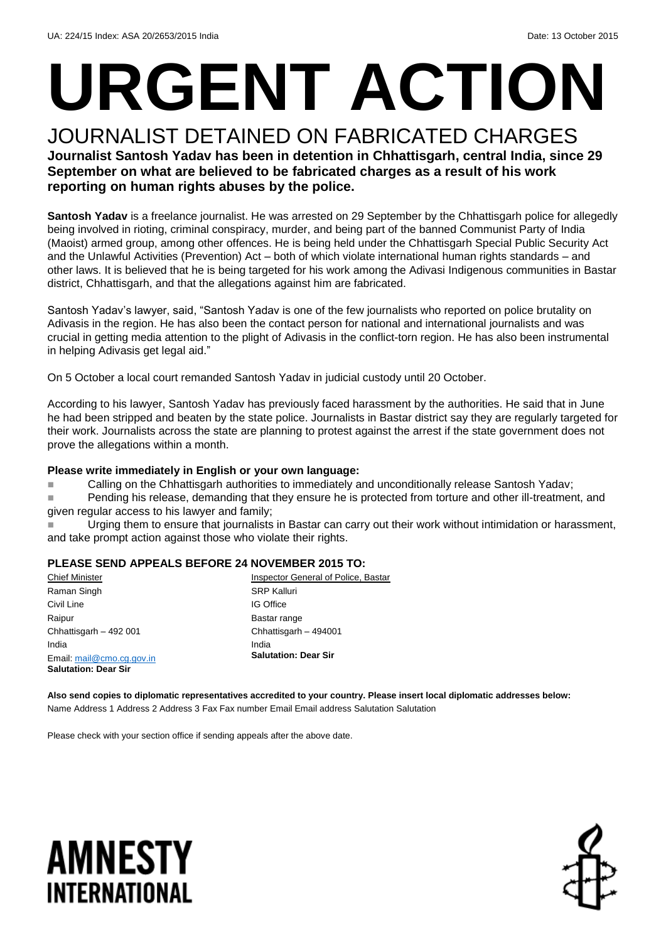# **URGENT ACTION**

#### JOURNALIST DETAINED ON FABRICATED CHARGES **Journalist Santosh Yadav has been in detention in Chhattisgarh, central India, since 29 September on what are believed to be fabricated charges as a result of his work reporting on human rights abuses by the police.**

**Santosh Yadav** is a freelance journalist. He was arrested on 29 September by the Chhattisgarh police for allegedly being involved in rioting, criminal conspiracy, murder, and being part of the banned Communist Party of India (Maoist) armed group, among other offences. He is being held under the Chhattisgarh Special Public Security Act and the Unlawful Activities (Prevention) Act – both of which violate international human rights standards – and other laws. It is believed that he is being targeted for his work among the Adivasi Indigenous communities in Bastar district, Chhattisgarh, and that the allegations against him are fabricated.

Santosh Yadav's lawyer, said, "Santosh Yadav is one of the few journalists who reported on police brutality on Adivasis in the region. He has also been the contact person for national and international journalists and was crucial in getting media attention to the plight of Adivasis in the conflict-torn region. He has also been instrumental in helping Adivasis get legal aid."

On 5 October a local court remanded Santosh Yadav in judicial custody until 20 October.

According to his lawyer, Santosh Yadav has previously faced harassment by the authorities. He said that in June he had been stripped and beaten by the state police. Journalists in Bastar district say they are regularly targeted for their work. Journalists across the state are planning to protest against the arrest if the state government does not prove the allegations within a month.

#### **Please write immediately in English or your own language:**

■ Calling on the Chhattisgarh authorities to immediately and unconditionally release Santosh Yadav;

■ Pending his release, demanding that they ensure he is protected from torture and other ill-treatment, and given regular access to his lawyer and family;

 Urging them to ensure that journalists in Bastar can carry out their work without intimidation or harassment, and take prompt action against those who violate their rights.

#### **PLEASE SEND APPEALS BEFORE 24 NOVEMBER 2015 TO:**

| <b>Chief Minister</b>       | Inspector General of Police, Bastar |
|-----------------------------|-------------------------------------|
| Raman Singh                 | <b>SRP Kalluri</b>                  |
| Civil Line                  | <b>IG Office</b>                    |
| Raipur                      | Bastar range                        |
| Chhattisgarh - 492 001      | Chhattisgarh - 494001               |
| India                       | India                               |
| Email: mail@cmo.cg.gov.in   | <b>Salutation: Dear Sir</b>         |
| <b>Salutation: Dear Sir</b> |                                     |

**Also send copies to diplomatic representatives accredited to your country. Please insert local diplomatic addresses below:** Name Address 1 Address 2 Address 3 Fax Fax number Email Email address Salutation Salutation

Please check with your section office if sending appeals after the above date.